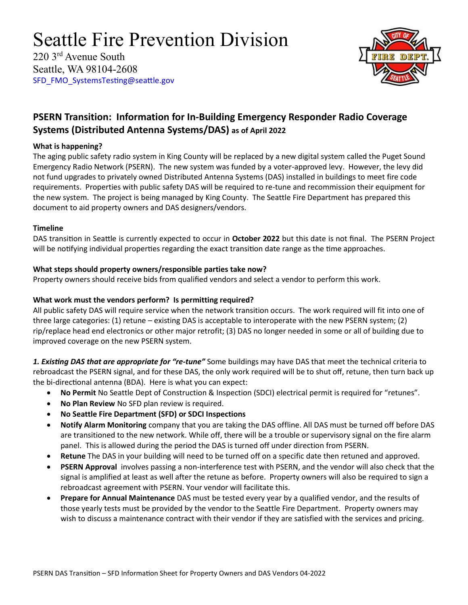# Seattle Fire Prevention Division

220 3rd Avenue South Seattle, WA 98104-2608 [SFD\\_FMO\\_SystemsTesting@seattle.gov](mailto:SFD_FMO_SystemsTesting@seattle.gov)



# **PSERN Transition: Information for In-Building Emergency Responder Radio Coverage Systems (Distributed Antenna Systems/DAS) as of April 2022**

#### **What is happening?**

The aging public safety radio system in King County will be replaced by a new digital system called the Puget Sound Emergency Radio Network (PSERN). The new system was funded by a voter-approved levy. However, the levy did not fund upgrades to privately owned Distributed Antenna Systems (DAS) installed in buildings to meet fire code requirements. Properties with public safety DAS will be required to re-tune and recommission their equipment for the new system. The project is being managed by King County. The Seattle Fire Department has prepared this document to aid property owners and DAS designers/vendors.

#### **Timeline**

DAS transition in Seattle is currently expected to occur in **October 2022** but this date is not final. The PSERN Project will be notifying individual properties regarding the exact transition date range as the time approaches.

## **What steps should property owners/responsible parties take now?**

Property owners should receive bids from qualified vendors and select a vendor to perform this work.

### **What work must the vendors perform? Is permitting required?**

All public safety DAS will require service when the network transition occurs. The work required will fit into one of three large categories: (1) retune – existing DAS is acceptable to interoperate with the new PSERN system; (2) rip/replace head end electronics or other major retrofit; (3) DAS no longer needed in some or all of building due to improved coverage on the new PSERN system.

*1. Existing DAS that are appropriate for "re-tune"* Some buildings may have DAS that meet the technical criteria to rebroadcast the PSERN signal, and for these DAS, the only work required will be to shut off, retune, then turn back up the bi-directional antenna (BDA). Here is what you can expect:

- **No Permit** No Seattle Dept of Construction & Inspection (SDCI) electrical permit is required for "retunes".
- **No Plan Review** No SFD plan review is required.
- **No Seattle Fire Department (SFD) or SDCI Inspections**
- **Notify Alarm Monitoring** company that you are taking the DAS offline. All DAS must be turned off before DAS are transitioned to the new network. While off, there will be a trouble or supervisory signal on the fire alarm panel. This is allowed during the period the DAS is turned off under direction from PSERN.
- **Retune** The DAS in your building will need to be turned off on a specific date then retuned and approved.
- **PSERN Approval** involves passing a non-interference test with PSERN, and the vendor will also check that the signal is amplified at least as well after the retune as before. Property owners will also be required to sign a rebroadcast agreement with PSERN. Your vendor will facilitate this.
- **Prepare for Annual Maintenance** DAS must be tested every year by a qualified vendor, and the results of those yearly tests must be provided by the vendor to the Seattle Fire Department. Property owners may wish to discuss a maintenance contract with their vendor if they are satisfied with the services and pricing.